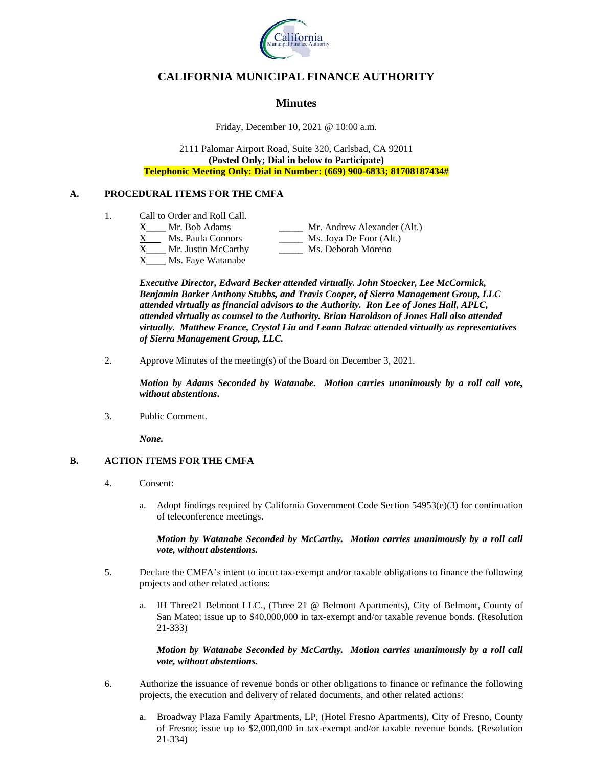

# **CALIFORNIA MUNICIPAL FINANCE AUTHORITY**

# **Minutes**

Friday, December 10, 2021 @ 10:00 a.m.

2111 Palomar Airport Road, Suite 320, Carlsbad, CA 92011 **(Posted Only; Dial in below to Participate) Telephonic Meeting Only: Dial in Number: (669) 900-6833; 81708187434#**

# **A. PROCEDURAL ITEMS FOR THE CMFA**

1. Call to Order and Roll Call.

| X. | Mr. Bob Adams       | Mr. Andrew Alexander (Alt.) |
|----|---------------------|-----------------------------|
| X. | Ms. Paula Connors   | Ms. Joya De Foor (Alt.)     |
| X. | Mr. Justin McCarthy | Ms. Deborah Moreno          |
| X  | Ms. Faye Watanabe   |                             |

*Executive Director, Edward Becker attended virtually. John Stoecker, Lee McCormick, Benjamin Barker Anthony Stubbs, and Travis Cooper, of Sierra Management Group, LLC attended virtually as financial advisors to the Authority. Ron Lee of Jones Hall, APLC, attended virtually as counsel to the Authority. Brian Haroldson of Jones Hall also attended virtually. Matthew France, Crystal Liu and Leann Balzac attended virtually as representatives of Sierra Management Group, LLC.*

2. Approve Minutes of the meeting(s) of the Board on December 3, 2021.

*Motion by Adams Seconded by Watanabe. Motion carries unanimously by a roll call vote, without abstentions***.**

3. Public Comment.

*None.* 

# **B. ACTION ITEMS FOR THE CMFA**

- 4. Consent:
	- a. Adopt findings required by California Government Code Section  $54953(e)(3)$  for continuation of teleconference meetings.

# *Motion by Watanabe Seconded by McCarthy. Motion carries unanimously by a roll call vote, without abstentions.*

- 5. Declare the CMFA's intent to incur tax-exempt and/or taxable obligations to finance the following projects and other related actions:
	- a. IH Three21 Belmont LLC., (Three 21 @ Belmont Apartments), City of Belmont, County of San Mateo; issue up to \$40,000,000 in tax-exempt and/or taxable revenue bonds. (Resolution 21-333)

# *Motion by Watanabe Seconded by McCarthy. Motion carries unanimously by a roll call vote, without abstentions.*

- 6. Authorize the issuance of revenue bonds or other obligations to finance or refinance the following projects, the execution and delivery of related documents, and other related actions:
	- a. Broadway Plaza Family Apartments, LP, (Hotel Fresno Apartments), City of Fresno, County of Fresno; issue up to \$2,000,000 in tax-exempt and/or taxable revenue bonds. (Resolution 21-334)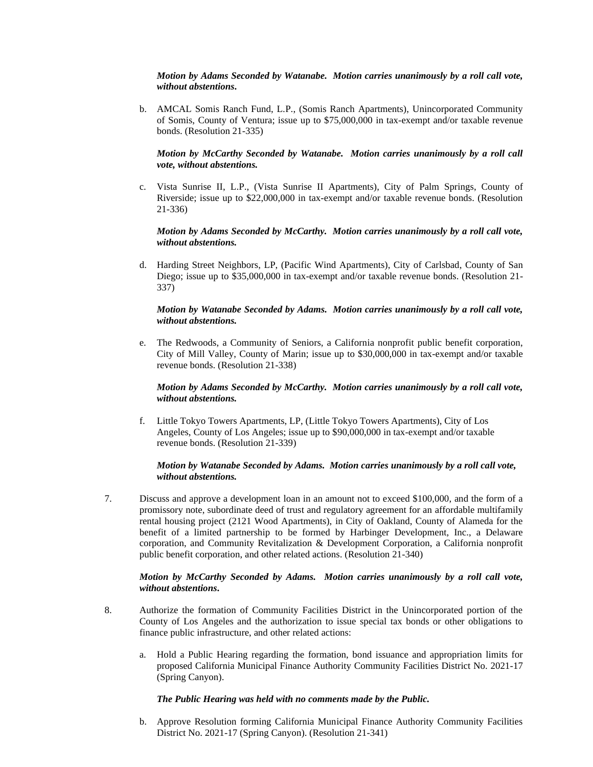*Motion by Adams Seconded by Watanabe. Motion carries unanimously by a roll call vote, without abstentions***.**

b. AMCAL Somis Ranch Fund, L.P., (Somis Ranch Apartments), Unincorporated Community of Somis, County of Ventura; issue up to \$75,000,000 in tax-exempt and/or taxable revenue bonds. (Resolution 21-335)

#### *Motion by McCarthy Seconded by Watanabe. Motion carries unanimously by a roll call vote, without abstentions.*

c. Vista Sunrise II, L.P., (Vista Sunrise II Apartments), City of Palm Springs, County of Riverside; issue up to \$22,000,000 in tax-exempt and/or taxable revenue bonds. (Resolution 21-336)

#### *Motion by Adams Seconded by McCarthy. Motion carries unanimously by a roll call vote, without abstentions.*

d. Harding Street Neighbors, LP, (Pacific Wind Apartments), City of Carlsbad, County of San Diego; issue up to \$35,000,000 in tax-exempt and/or taxable revenue bonds. (Resolution 21- 337)

# *Motion by Watanabe Seconded by Adams. Motion carries unanimously by a roll call vote, without abstentions.*

e. The Redwoods, a Community of Seniors, a California nonprofit public benefit corporation, City of Mill Valley, County of Marin; issue up to \$30,000,000 in tax-exempt and/or taxable revenue bonds. (Resolution 21-338)

# *Motion by Adams Seconded by McCarthy. Motion carries unanimously by a roll call vote, without abstentions.*

f. Little Tokyo Towers Apartments, LP, (Little Tokyo Towers Apartments), City of Los Angeles, County of Los Angeles; issue up to \$90,000,000 in tax-exempt and/or taxable revenue bonds. (Resolution 21-339)

# *Motion by Watanabe Seconded by Adams. Motion carries unanimously by a roll call vote, without abstentions.*

7. Discuss and approve a development loan in an amount not to exceed \$100,000, and the form of a promissory note, subordinate deed of trust and regulatory agreement for an affordable multifamily rental housing project (2121 Wood Apartments), in City of Oakland, County of Alameda for the benefit of a limited partnership to be formed by Harbinger Development, Inc., a Delaware corporation, and Community Revitalization & Development Corporation, a California nonprofit public benefit corporation, and other related actions. (Resolution 21-340)

# *Motion by McCarthy Seconded by Adams. Motion carries unanimously by a roll call vote, without abstentions***.**

- 8. Authorize the formation of Community Facilities District in the Unincorporated portion of the County of Los Angeles and the authorization to issue special tax bonds or other obligations to finance public infrastructure, and other related actions:
	- a. Hold a Public Hearing regarding the formation, bond issuance and appropriation limits for proposed California Municipal Finance Authority Community Facilities District No. 2021-17 (Spring Canyon).

#### *The Public Hearing was held with no comments made by the Public.*

b. Approve Resolution forming California Municipal Finance Authority Community Facilities District No. 2021-17 (Spring Canyon). (Resolution 21-341)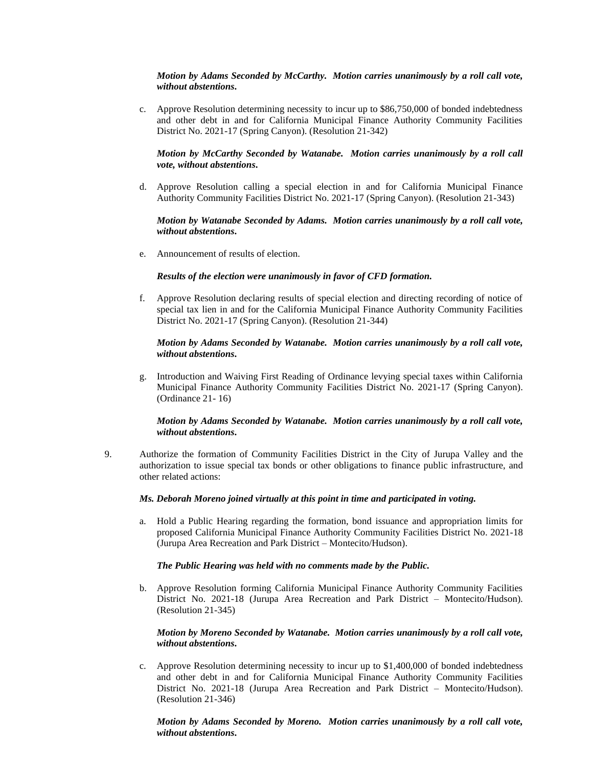#### *Motion by Adams Seconded by McCarthy. Motion carries unanimously by a roll call vote, without abstentions***.**

c. Approve Resolution determining necessity to incur up to \$86,750,000 of bonded indebtedness and other debt in and for California Municipal Finance Authority Community Facilities District No. 2021-17 (Spring Canyon). (Resolution 21-342)

# *Motion by McCarthy Seconded by Watanabe. Motion carries unanimously by a roll call vote, without abstentions***.**

d. Approve Resolution calling a special election in and for California Municipal Finance Authority Community Facilities District No. 2021-17 (Spring Canyon). (Resolution 21-343)

#### *Motion by Watanabe Seconded by Adams. Motion carries unanimously by a roll call vote, without abstentions***.**

e. Announcement of results of election.

# *Results of the election were unanimously in favor of CFD formation.*

f. Approve Resolution declaring results of special election and directing recording of notice of special tax lien in and for the California Municipal Finance Authority Community Facilities District No. 2021-17 (Spring Canyon). (Resolution 21-344)

#### *Motion by Adams Seconded by Watanabe. Motion carries unanimously by a roll call vote, without abstentions***.**

g. Introduction and Waiving First Reading of Ordinance levying special taxes within California Municipal Finance Authority Community Facilities District No. 2021-17 (Spring Canyon). (Ordinance 21- 16)

# *Motion by Adams Seconded by Watanabe. Motion carries unanimously by a roll call vote, without abstentions***.**

9. Authorize the formation of Community Facilities District in the City of Jurupa Valley and the authorization to issue special tax bonds or other obligations to finance public infrastructure, and other related actions:

#### *Ms. Deborah Moreno joined virtually at this point in time and participated in voting.*

a. Hold a Public Hearing regarding the formation, bond issuance and appropriation limits for proposed California Municipal Finance Authority Community Facilities District No. 2021-18 (Jurupa Area Recreation and Park District – Montecito/Hudson).

#### *The Public Hearing was held with no comments made by the Public.*

b. Approve Resolution forming California Municipal Finance Authority Community Facilities District No. 2021-18 (Jurupa Area Recreation and Park District – Montecito/Hudson). (Resolution 21-345)

# *Motion by Moreno Seconded by Watanabe. Motion carries unanimously by a roll call vote, without abstentions***.**

c. Approve Resolution determining necessity to incur up to \$1,400,000 of bonded indebtedness and other debt in and for California Municipal Finance Authority Community Facilities District No. 2021-18 (Jurupa Area Recreation and Park District – Montecito/Hudson). (Resolution 21-346)

*Motion by Adams Seconded by Moreno. Motion carries unanimously by a roll call vote, without abstentions***.**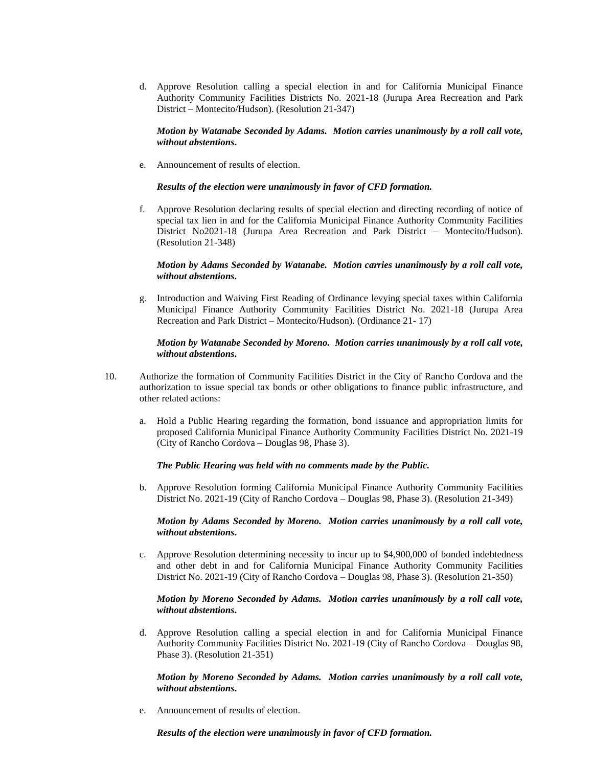d. Approve Resolution calling a special election in and for California Municipal Finance Authority Community Facilities Districts No. 2021-18 (Jurupa Area Recreation and Park District – Montecito/Hudson). (Resolution 21-347)

#### *Motion by Watanabe Seconded by Adams. Motion carries unanimously by a roll call vote, without abstentions***.**

e. Announcement of results of election.

#### *Results of the election were unanimously in favor of CFD formation.*

f. Approve Resolution declaring results of special election and directing recording of notice of special tax lien in and for the California Municipal Finance Authority Community Facilities District No2021-18 (Jurupa Area Recreation and Park District – Montecito/Hudson). (Resolution 21-348)

#### *Motion by Adams Seconded by Watanabe. Motion carries unanimously by a roll call vote, without abstentions***.**

g. Introduction and Waiving First Reading of Ordinance levying special taxes within California Municipal Finance Authority Community Facilities District No. 2021-18 (Jurupa Area Recreation and Park District – Montecito/Hudson). (Ordinance 21- 17)

#### *Motion by Watanabe Seconded by Moreno. Motion carries unanimously by a roll call vote, without abstentions***.**

- 10. Authorize the formation of Community Facilities District in the City of Rancho Cordova and the authorization to issue special tax bonds or other obligations to finance public infrastructure, and other related actions:
	- a. Hold a Public Hearing regarding the formation, bond issuance and appropriation limits for proposed California Municipal Finance Authority Community Facilities District No. 2021-19 (City of Rancho Cordova – Douglas 98, Phase 3).

#### *The Public Hearing was held with no comments made by the Public.*

b. Approve Resolution forming California Municipal Finance Authority Community Facilities District No. 2021-19 (City of Rancho Cordova – Douglas 98, Phase 3). (Resolution 21-349)

#### *Motion by Adams Seconded by Moreno. Motion carries unanimously by a roll call vote, without abstentions***.**

c. Approve Resolution determining necessity to incur up to \$4,900,000 of bonded indebtedness and other debt in and for California Municipal Finance Authority Community Facilities District No. 2021-19 (City of Rancho Cordova – Douglas 98, Phase 3). (Resolution 21-350)

#### *Motion by Moreno Seconded by Adams. Motion carries unanimously by a roll call vote, without abstentions***.**

d. Approve Resolution calling a special election in and for California Municipal Finance Authority Community Facilities District No. 2021-19 (City of Rancho Cordova – Douglas 98, Phase 3). (Resolution 21-351)

*Motion by Moreno Seconded by Adams. Motion carries unanimously by a roll call vote, without abstentions***.**

e. Announcement of results of election.

*Results of the election were unanimously in favor of CFD formation.*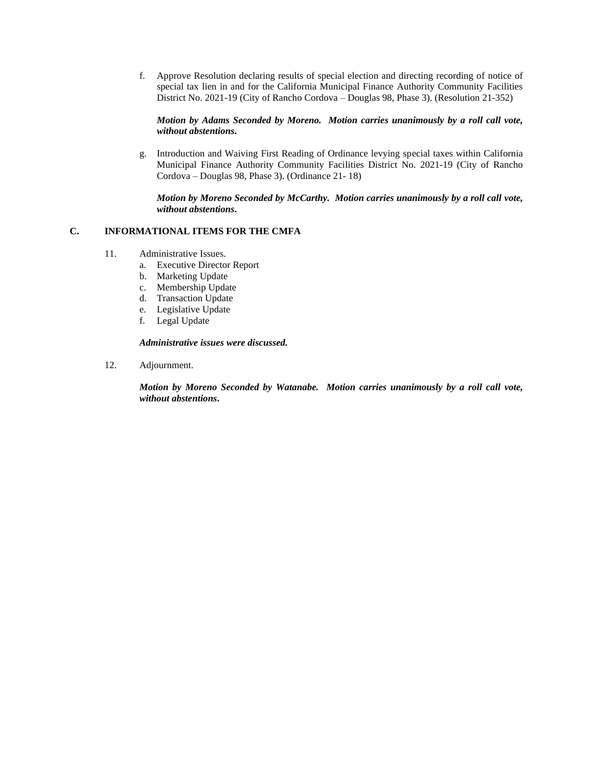f. Approve Resolution declaring results of special election and directing recording of notice of special tax lien in and for the California Municipal Finance Authority Community Facilities District No. 2021-19 (City of Rancho Cordova – Douglas 98, Phase 3). (Resolution 21-352)

*Motion by Adams Seconded by Moreno. Motion carries unanimously by a roll call vote, without abstentions***.**

g. Introduction and Waiving First Reading of Ordinance levying special taxes within California Municipal Finance Authority Community Facilities District No. 2021-19 (City of Rancho Cordova – Douglas 98, Phase 3). (Ordinance 21- 18)

*Motion by Moreno Seconded by McCarthy. Motion carries unanimously by a roll call vote, without abstentions***.**

# **C. INFORMATIONAL ITEMS FOR THE CMFA**

- 11. Administrative Issues.
	- a. Executive Director Report
	- b. Marketing Update
	- c. Membership Update
	- d. Transaction Update
	- e. Legislative Update
	- f. Legal Update

#### *Administrative issues were discussed.*

12. Adjournment.

*Motion by Moreno Seconded by Watanabe. Motion carries unanimously by a roll call vote, without abstentions***.**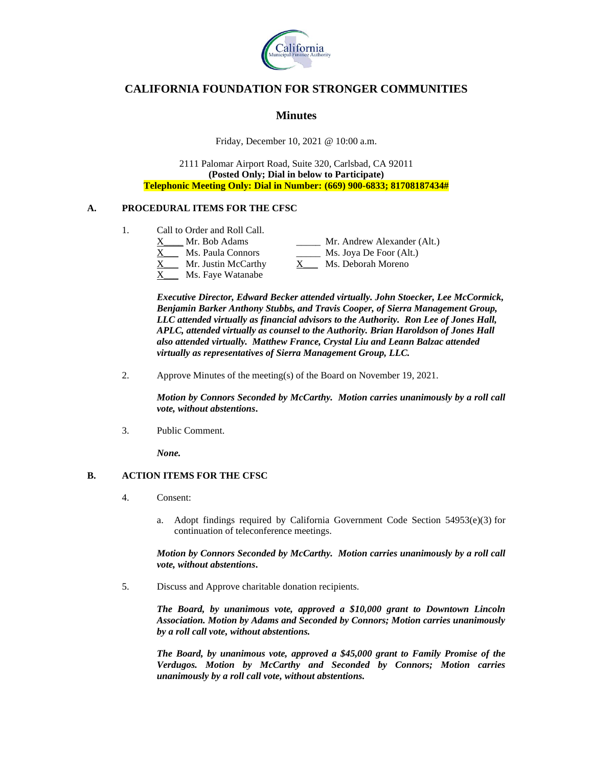

# **CALIFORNIA FOUNDATION FOR STRONGER COMMUNITIES**

# **Minutes**

Friday, December 10, 2021 @ 10:00 a.m.

2111 Palomar Airport Road, Suite 320, Carlsbad, CA 92011 **(Posted Only; Dial in below to Participate) Telephonic Meeting Only: Dial in Number: (669) 900-6833; 81708187434#**

# **A. PROCEDURAL ITEMS FOR THE CFSC**

- 1. Call to Order and Roll Call.
	- X Mr. Bob Adams Mr. Andrew Alexander (Alt.) Ms. Paula Connors \_\_\_\_\_\_\_ Ms. Joya De Foor (Alt.) X\_\_\_ Mr. Justin McCarthy X\_\_\_ Ms. Deborah Moreno
	- Ms. Faye Watanabe

*Executive Director, Edward Becker attended virtually. John Stoecker, Lee McCormick, Benjamin Barker Anthony Stubbs, and Travis Cooper, of Sierra Management Group, LLC attended virtually as financial advisors to the Authority. Ron Lee of Jones Hall, APLC, attended virtually as counsel to the Authority. Brian Haroldson of Jones Hall also attended virtually. Matthew France, Crystal Liu and Leann Balzac attended virtually as representatives of Sierra Management Group, LLC.*

2. Approve Minutes of the meeting(s) of the Board on November 19, 2021.

*Motion by Connors Seconded by McCarthy. Motion carries unanimously by a roll call vote, without abstentions***.**

3. Public Comment.

*None.*

# **B. ACTION ITEMS FOR THE CFSC**

- 4. Consent:
	- a. Adopt findings required by California Government Code Section  $54953(e)(3)$  for continuation of teleconference meetings.

*Motion by Connors Seconded by McCarthy. Motion carries unanimously by a roll call vote, without abstentions***.**

5. Discuss and Approve charitable donation recipients.

*The Board, by unanimous vote, approved a \$10,000 grant to Downtown Lincoln Association. Motion by Adams and Seconded by Connors; Motion carries unanimously by a roll call vote, without abstentions.* 

*The Board, by unanimous vote, approved a \$45,000 grant to Family Promise of the Verdugos. Motion by McCarthy and Seconded by Connors; Motion carries unanimously by a roll call vote, without abstentions.*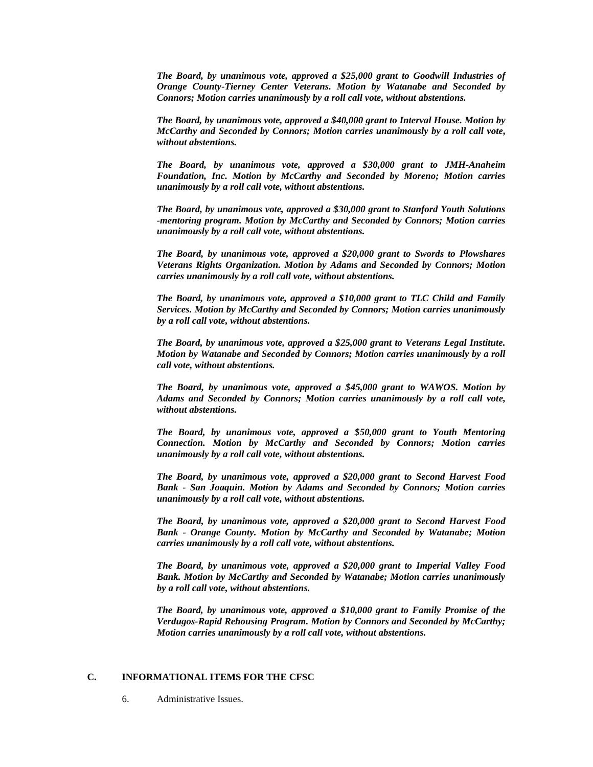*The Board, by unanimous vote, approved a \$25,000 grant to Goodwill Industries of Orange County-Tierney Center Veterans. Motion by Watanabe and Seconded by Connors; Motion carries unanimously by a roll call vote, without abstentions.* 

*The Board, by unanimous vote, approved a \$40,000 grant to Interval House. Motion by McCarthy and Seconded by Connors; Motion carries unanimously by a roll call vote, without abstentions.* 

*The Board, by unanimous vote, approved a \$30,000 grant to JMH-Anaheim Foundation, Inc. Motion by McCarthy and Seconded by Moreno; Motion carries unanimously by a roll call vote, without abstentions.* 

*The Board, by unanimous vote, approved a \$30,000 grant to Stanford Youth Solutions -mentoring program. Motion by McCarthy and Seconded by Connors; Motion carries unanimously by a roll call vote, without abstentions.* 

*The Board, by unanimous vote, approved a \$20,000 grant to Swords to Plowshares Veterans Rights Organization. Motion by Adams and Seconded by Connors; Motion carries unanimously by a roll call vote, without abstentions.* 

*The Board, by unanimous vote, approved a \$10,000 grant to TLC Child and Family Services. Motion by McCarthy and Seconded by Connors; Motion carries unanimously by a roll call vote, without abstentions.* 

*The Board, by unanimous vote, approved a \$25,000 grant to Veterans Legal Institute. Motion by Watanabe and Seconded by Connors; Motion carries unanimously by a roll call vote, without abstentions.* 

*The Board, by unanimous vote, approved a \$45,000 grant to WAWOS. Motion by Adams and Seconded by Connors; Motion carries unanimously by a roll call vote, without abstentions.* 

*The Board, by unanimous vote, approved a \$50,000 grant to Youth Mentoring Connection. Motion by McCarthy and Seconded by Connors; Motion carries unanimously by a roll call vote, without abstentions.* 

*The Board, by unanimous vote, approved a \$20,000 grant to Second Harvest Food Bank - San Joaquin. Motion by Adams and Seconded by Connors; Motion carries unanimously by a roll call vote, without abstentions.* 

*The Board, by unanimous vote, approved a \$20,000 grant to Second Harvest Food Bank - Orange County. Motion by McCarthy and Seconded by Watanabe; Motion carries unanimously by a roll call vote, without abstentions.* 

*The Board, by unanimous vote, approved a \$20,000 grant to Imperial Valley Food Bank. Motion by McCarthy and Seconded by Watanabe; Motion carries unanimously by a roll call vote, without abstentions.* 

*The Board, by unanimous vote, approved a \$10,000 grant to Family Promise of the Verdugos-Rapid Rehousing Program. Motion by Connors and Seconded by McCarthy; Motion carries unanimously by a roll call vote, without abstentions.* 

# **C. INFORMATIONAL ITEMS FOR THE CFSC**

6. Administrative Issues.